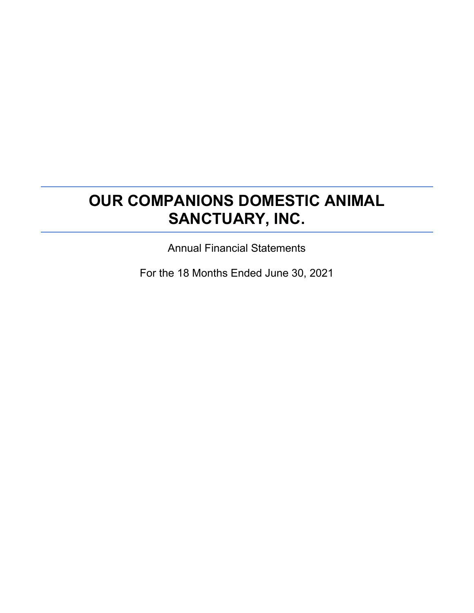Annual Financial Statements

For the 18 Months Ended June 30, 2021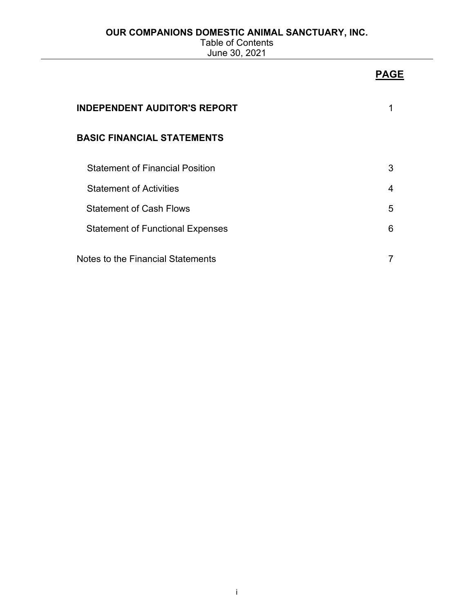Table of Contents

June 30, 2021

**PAGE**

| <b>INDEPENDENT AUDITOR'S REPORT</b>     |   |
|-----------------------------------------|---|
| <b>BASIC FINANCIAL STATEMENTS</b>       |   |
| <b>Statement of Financial Position</b>  | 3 |
| <b>Statement of Activities</b>          | 4 |
| <b>Statement of Cash Flows</b>          | 5 |
| <b>Statement of Functional Expenses</b> | 6 |
| Notes to the Financial Statements       |   |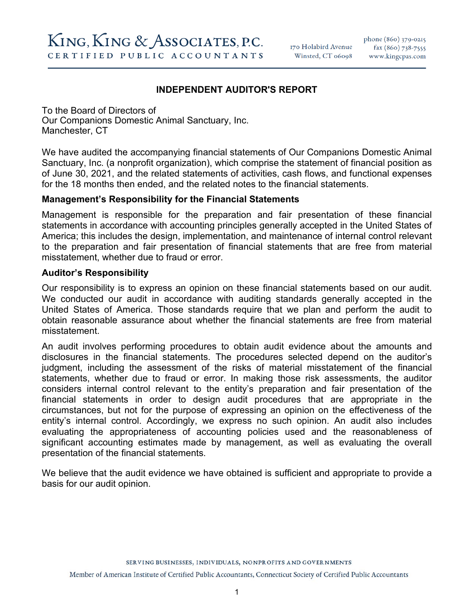170 Holabird Avenue Winsted, CT 06098

#### **INDEPENDENT AUDITOR'S REPORT**

To the Board of Directors of Our Companions Domestic Animal Sanctuary, Inc. Manchester, CT

We have audited the accompanying financial statements of Our Companions Domestic Animal Sanctuary, Inc. (a nonprofit organization), which comprise the statement of financial position as of June 30, 2021, and the related statements of activities, cash flows, and functional expenses for the 18 months then ended, and the related notes to the financial statements.

#### **Management's Responsibility for the Financial Statements**

Management is responsible for the preparation and fair presentation of these financial statements in accordance with accounting principles generally accepted in the United States of America; this includes the design, implementation, and maintenance of internal control relevant to the preparation and fair presentation of financial statements that are free from material misstatement, whether due to fraud or error.

#### **Auditor's Responsibility**

Our responsibility is to express an opinion on these financial statements based on our audit. We conducted our audit in accordance with auditing standards generally accepted in the United States of America. Those standards require that we plan and perform the audit to obtain reasonable assurance about whether the financial statements are free from material misstatement.

An audit involves performing procedures to obtain audit evidence about the amounts and disclosures in the financial statements. The procedures selected depend on the auditor's judgment, including the assessment of the risks of material misstatement of the financial statements, whether due to fraud or error. In making those risk assessments, the auditor considers internal control relevant to the entity's preparation and fair presentation of the financial statements in order to design audit procedures that are appropriate in the circumstances, but not for the purpose of expressing an opinion on the effectiveness of the entity's internal control. Accordingly, we express no such opinion. An audit also includes evaluating the appropriateness of accounting policies used and the reasonableness of significant accounting estimates made by management, as well as evaluating the overall presentation of the financial statements.

We believe that the audit evidence we have obtained is sufficient and appropriate to provide a basis for our audit opinion.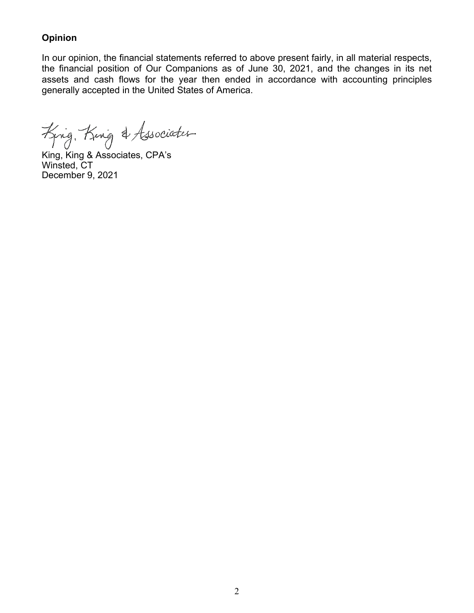# **Opinion**

In our opinion, the financial statements referred to above present fairly, in all material respects, the financial position of Our Companions as of June 30, 2021, and the changes in its net assets and cash flows for the year then ended in accordance with accounting principles generally accepted in the United States of America.

King. King & Associates

King, King & Associates, CPA's Winsted, CT December 9, 2021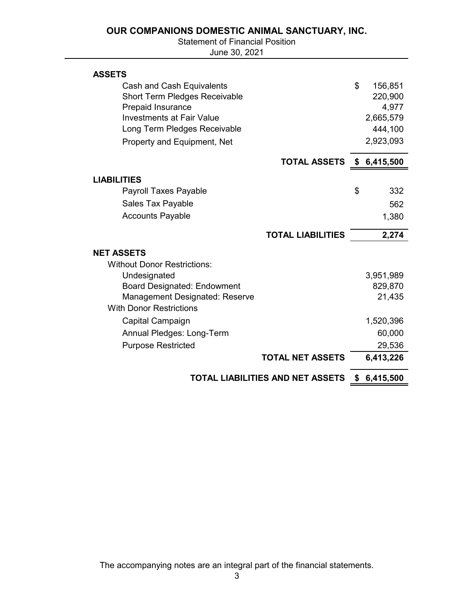Statement of Financial Position

June 30, 2021

| <b>ASSETS</b>                                                    |                      |
|------------------------------------------------------------------|----------------------|
| Cash and Cash Equivalents                                        | \$<br>156,851        |
| <b>Short Term Pledges Receivable</b>                             | 220,900              |
| Prepaid Insurance                                                | 4,977                |
| <b>Investments at Fair Value</b><br>Long Term Pledges Receivable | 2,665,579<br>444,100 |
| Property and Equipment, Net                                      | 2,923,093            |
|                                                                  |                      |
| <b>TOTAL ASSETS</b>                                              | \$6,415,500          |
| <b>LIABILITIES</b>                                               |                      |
| <b>Payroll Taxes Payable</b>                                     | \$<br>332            |
| Sales Tax Payable                                                | 562                  |
| <b>Accounts Payable</b>                                          | 1,380                |
|                                                                  |                      |
| <b>TOTAL LIABILITIES</b>                                         | 2,274                |
| <b>NET ASSETS</b>                                                |                      |
| <b>Without Donor Restrictions:</b>                               |                      |
| Undesignated                                                     | 3,951,989            |
| <b>Board Designated: Endowment</b>                               | 829,870              |
| Management Designated: Reserve                                   | 21,435               |
| <b>With Donor Restrictions</b>                                   |                      |
| Capital Campaign                                                 | 1,520,396            |
| Annual Pledges: Long-Term                                        | 60,000               |
| <b>Purpose Restricted</b>                                        | 29,536               |
| <b>TOTAL NET ASSETS</b>                                          | 6,413,226            |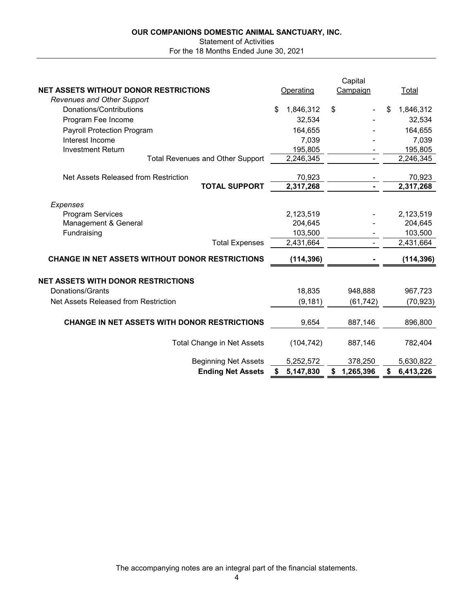Statement of Activities

For the 18 Months Ended June 30, 2021

| <b>NET ASSETS WITHOUT DONOR RESTRICTIONS</b>           | Operating       | <u>Campaign</u> | Total           |
|--------------------------------------------------------|-----------------|-----------------|-----------------|
| Revenues and Other Support                             |                 |                 |                 |
| Donations/Contributions                                | \$<br>1,846,312 | \$              | 1,846,312<br>\$ |
| Program Fee Income                                     | 32,534          |                 | 32,534          |
| <b>Payroll Protection Program</b>                      | 164,655         |                 | 164,655         |
| Interest Income                                        | 7,039           |                 | 7,039           |
| <b>Investment Return</b>                               | 195,805         |                 | 195,805         |
| <b>Total Revenues and Other Support</b>                | 2,246,345       |                 | 2,246,345       |
| Net Assets Released from Restriction                   | 70,923          |                 | 70,923          |
| <b>TOTAL SUPPORT</b>                                   | 2,317,268       |                 | 2,317,268       |
| Expenses                                               |                 |                 |                 |
| <b>Program Services</b>                                | 2,123,519       |                 | 2,123,519       |
| Management & General                                   | 204,645         |                 | 204,645         |
| Fundraising                                            | 103,500         |                 | 103,500         |
| <b>Total Expenses</b>                                  | 2,431,664       |                 | 2,431,664       |
| <b>CHANGE IN NET ASSETS WITHOUT DONOR RESTRICTIONS</b> | (114, 396)      |                 | (114, 396)      |
| <b>NET ASSETS WITH DONOR RESTRICTIONS</b>              |                 |                 |                 |
| Donations/Grants                                       | 18,835          | 948,888         | 967,723         |
| Net Assets Released from Restriction                   | (9, 181)        | (61, 742)       | (70, 923)       |
| <b>CHANGE IN NET ASSETS WITH DONOR RESTRICTIONS</b>    | 9,654           | 887,146         | 896,800         |
| <b>Total Change in Net Assets</b>                      | (104, 742)      | 887,146         | 782,404         |
| <b>Beginning Net Assets</b>                            | 5,252,572       | 378,250         | 5,630,822       |
| <b>Ending Net Assets</b>                               | 5,147,830<br>\$ | 1,265,396<br>S  | 6,413,226<br>\$ |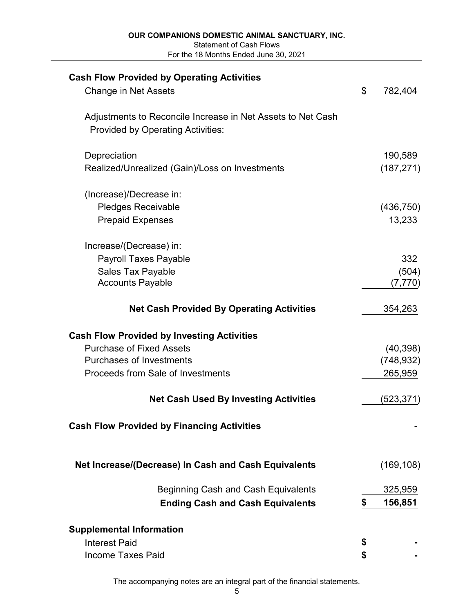Statement of Cash Flows

For the 18 Months Ended June 30, 2021

| <b>Cash Flow Provided by Operating Activities</b>                                                       |               |
|---------------------------------------------------------------------------------------------------------|---------------|
| Change in Net Assets                                                                                    | \$<br>782,404 |
| Adjustments to Reconcile Increase in Net Assets to Net Cash<br><b>Provided by Operating Activities:</b> |               |
| Depreciation                                                                                            | 190,589       |
| Realized/Unrealized (Gain)/Loss on Investments                                                          | (187, 271)    |
| (Increase)/Decrease in:                                                                                 |               |
| <b>Pledges Receivable</b>                                                                               | (436, 750)    |
| <b>Prepaid Expenses</b>                                                                                 | 13,233        |
| Increase/(Decrease) in:                                                                                 |               |
| <b>Payroll Taxes Payable</b>                                                                            | 332           |
| <b>Sales Tax Payable</b>                                                                                | (504)         |
| <b>Accounts Payable</b>                                                                                 | (7,770)       |
| <b>Net Cash Provided By Operating Activities</b>                                                        | 354,263       |
| <b>Cash Flow Provided by Investing Activities</b>                                                       |               |
| <b>Purchase of Fixed Assets</b>                                                                         | (40, 398)     |
| <b>Purchases of Investments</b>                                                                         | (748, 932)    |
| Proceeds from Sale of Investments                                                                       | 265,959       |
| <b>Net Cash Used By Investing Activities</b>                                                            | (523,371)     |
| <b>Cash Flow Provided by Financing Activities</b>                                                       |               |
| Net Increase/(Decrease) In Cash and Cash Equivalents                                                    | (169, 108)    |
| <b>Beginning Cash and Cash Equivalents</b>                                                              | 325,959       |
| <b>Ending Cash and Cash Equivalents</b>                                                                 | \$<br>156,851 |
| <b>Supplemental Information</b>                                                                         |               |
| <b>Interest Paid</b>                                                                                    | \$            |
| <b>Income Taxes Paid</b>                                                                                | \$            |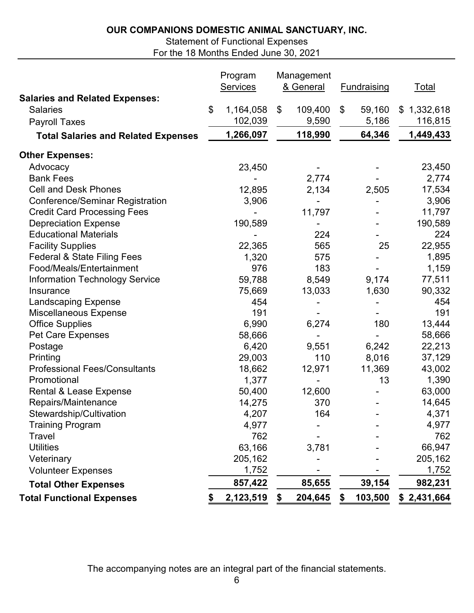Statement of Functional Expenses

For the 18 Months Ended June 30, 2021

|                                            | Program         |    | Management |                    |                |
|--------------------------------------------|-----------------|----|------------|--------------------|----------------|
|                                            | <b>Services</b> |    | & General  | <b>Fundraising</b> | Total          |
| <b>Salaries and Related Expenses:</b>      |                 |    |            |                    |                |
| <b>Salaries</b>                            | \$<br>1,164,058 | \$ | 109,400    | \$<br>59,160       | \$1,332,618    |
| <b>Payroll Taxes</b>                       | 102,039         |    | 9,590      | 5,186              | <u>116,815</u> |
| <b>Total Salaries and Related Expenses</b> | 1,266,097       |    | 118,990    | 64,346             | 1,449,433      |
| <b>Other Expenses:</b>                     |                 |    |            |                    |                |
| Advocacy                                   | 23,450          |    |            |                    | 23,450         |
| <b>Bank Fees</b>                           |                 |    | 2,774      |                    | 2,774          |
| <b>Cell and Desk Phones</b>                | 12,895          |    | 2,134      | 2,505              | 17,534         |
| <b>Conference/Seminar Registration</b>     | 3,906           |    |            |                    | 3,906          |
| <b>Credit Card Processing Fees</b>         |                 |    | 11,797     |                    | 11,797         |
| <b>Depreciation Expense</b>                | 190,589         |    |            |                    | 190,589        |
| <b>Educational Materials</b>               |                 |    | 224        |                    | 224            |
| <b>Facility Supplies</b>                   | 22,365          |    | 565        | 25                 | 22,955         |
| <b>Federal &amp; State Filing Fees</b>     | 1,320           |    | 575        |                    | 1,895          |
| Food/Meals/Entertainment                   | 976             |    | 183        |                    | 1,159          |
| <b>Information Technology Service</b>      | 59,788          |    | 8,549      | 9,174              | 77,511         |
| Insurance                                  | 75,669          |    | 13,033     | 1,630              | 90,332         |
| <b>Landscaping Expense</b>                 | 454             |    |            |                    | 454            |
| Miscellaneous Expense                      | 191             |    |            |                    | 191            |
| <b>Office Supplies</b>                     | 6,990           |    | 6,274      | 180                | 13,444         |
| Pet Care Expenses                          | 58,666          |    |            |                    | 58,666         |
| Postage                                    | 6,420           |    | 9,551      | 6,242              | 22,213         |
| Printing                                   | 29,003          |    | 110        | 8,016              | 37,129         |
| <b>Professional Fees/Consultants</b>       | 18,662          |    | 12,971     | 11,369             | 43,002         |
| Promotional                                | 1,377           |    |            | 13                 | 1,390          |
| Rental & Lease Expense                     | 50,400          |    | 12,600     |                    | 63,000         |
| Repairs/Maintenance                        | 14,275          |    | 370        |                    | 14,645         |
| Stewardship/Cultivation                    | 4,207           |    | 164        |                    | 4,371          |
| <b>Training Program</b>                    | 4,977           |    |            |                    | 4,977          |
| Travel                                     | 762             |    |            |                    | 762            |
| <b>Utilities</b>                           | 63,166          |    | 3,781      |                    | 66,947         |
| Veterinary                                 | 205,162         |    |            |                    | 205,162        |
| <b>Volunteer Expenses</b>                  | 1,752           |    |            |                    | 1,752          |
| <b>Total Other Expenses</b>                | 857,422         |    | 85,655     | 39,154             | 982,231        |
| <b>Total Functional Expenses</b>           | 2,123,519       | S. | 204,645    | \$<br>103,500      | \$2,431,664    |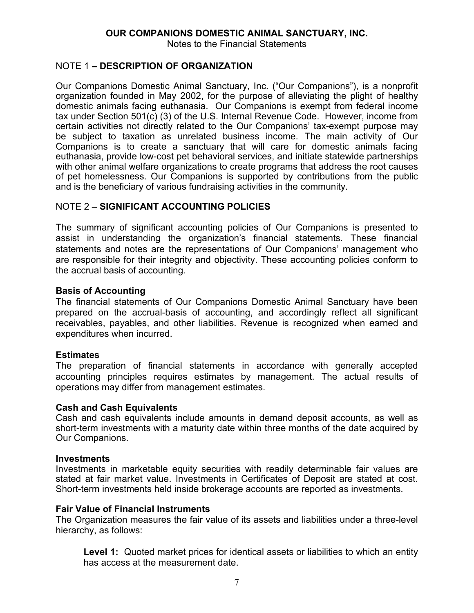# NOTE 1 **– DESCRIPTION OF ORGANIZATION**

Our Companions Domestic Animal Sanctuary, Inc. ("Our Companions"), is a nonprofit organization founded in May 2002, for the purpose of alleviating the plight of healthy domestic animals facing euthanasia. Our Companions is exempt from federal income tax under Section 501(c) (3) of the U.S. Internal Revenue Code. However, income from certain activities not directly related to the Our Companions' tax-exempt purpose may be subject to taxation as unrelated business income. The main activity of Our Companions is to create a sanctuary that will care for domestic animals facing euthanasia, provide low-cost pet behavioral services, and initiate statewide partnerships with other animal welfare organizations to create programs that address the root causes of pet homelessness. Our Companions is supported by contributions from the public and is the beneficiary of various fundraising activities in the community.

## NOTE 2 **– SIGNIFICANT ACCOUNTING POLICIES**

The summary of significant accounting policies of Our Companions is presented to assist in understanding the organization's financial statements. These financial statements and notes are the representations of Our Companions' management who are responsible for their integrity and objectivity. These accounting policies conform to the accrual basis of accounting.

#### **Basis of Accounting**

The financial statements of Our Companions Domestic Animal Sanctuary have been prepared on the accrual-basis of accounting, and accordingly reflect all significant receivables, payables, and other liabilities. Revenue is recognized when earned and expenditures when incurred.

## **Estimates**

The preparation of financial statements in accordance with generally accepted accounting principles requires estimates by management. The actual results of operations may differ from management estimates.

#### **Cash and Cash Equivalents**

Cash and cash equivalents include amounts in demand deposit accounts, as well as short-term investments with a maturity date within three months of the date acquired by Our Companions.

#### **Investments**

Investments in marketable equity securities with readily determinable fair values are stated at fair market value. Investments in Certificates of Deposit are stated at cost. Short-term investments held inside brokerage accounts are reported as investments.

#### **Fair Value of Financial Instruments**

The Organization measures the fair value of its assets and liabilities under a three-level hierarchy, as follows:

**Level 1:** Quoted market prices for identical assets or liabilities to which an entity has access at the measurement date.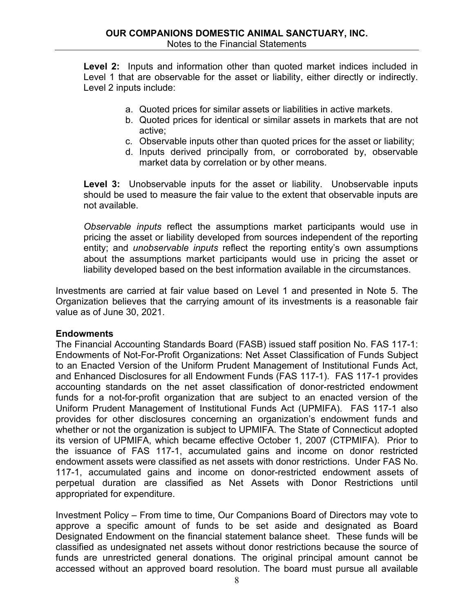**Level 2:** Inputs and information other than quoted market indices included in Level 1 that are observable for the asset or liability, either directly or indirectly. Level 2 inputs include:

- a. Quoted prices for similar assets or liabilities in active markets.
- b. Quoted prices for identical or similar assets in markets that are not active;
- c. Observable inputs other than quoted prices for the asset or liability;
- d. Inputs derived principally from, or corroborated by, observable market data by correlation or by other means.

**Level 3:** Unobservable inputs for the asset or liability. Unobservable inputs should be used to measure the fair value to the extent that observable inputs are not available.

*Observable inputs* reflect the assumptions market participants would use in pricing the asset or liability developed from sources independent of the reporting entity; and *unobservable inputs* reflect the reporting entity's own assumptions about the assumptions market participants would use in pricing the asset or liability developed based on the best information available in the circumstances.

Investments are carried at fair value based on Level 1 and presented in Note 5. The Organization believes that the carrying amount of its investments is a reasonable fair value as of June 30, 2021.

## **Endowments**

The Financial Accounting Standards Board (FASB) issued staff position No. FAS 117-1: Endowments of Not-For-Profit Organizations: Net Asset Classification of Funds Subject to an Enacted Version of the Uniform Prudent Management of Institutional Funds Act, and Enhanced Disclosures for all Endowment Funds (FAS 117-1). FAS 117-1 provides accounting standards on the net asset classification of donor-restricted endowment funds for a not-for-profit organization that are subject to an enacted version of the Uniform Prudent Management of Institutional Funds Act (UPMIFA). FAS 117-1 also provides for other disclosures concerning an organization's endowment funds and whether or not the organization is subject to UPMIFA. The State of Connecticut adopted its version of UPMIFA, which became effective October 1, 2007 (CTPMIFA). Prior to the issuance of FAS 117-1, accumulated gains and income on donor restricted endowment assets were classified as net assets with donor restrictions. Under FAS No. 117-1, accumulated gains and income on donor-restricted endowment assets of perpetual duration are classified as Net Assets with Donor Restrictions until appropriated for expenditure.

Investment Policy – From time to time, Our Companions Board of Directors may vote to approve a specific amount of funds to be set aside and designated as Board Designated Endowment on the financial statement balance sheet. These funds will be classified as undesignated net assets without donor restrictions because the source of funds are unrestricted general donations. The original principal amount cannot be accessed without an approved board resolution. The board must pursue all available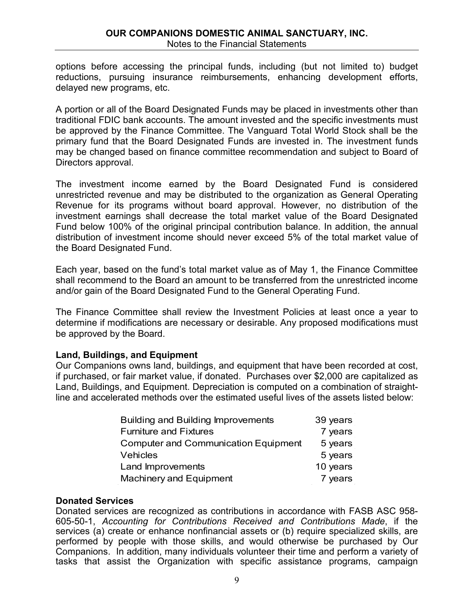options before accessing the principal funds, including (but not limited to) budget reductions, pursuing insurance reimbursements, enhancing development efforts, delayed new programs, etc.

A portion or all of the Board Designated Funds may be placed in investments other than traditional FDIC bank accounts. The amount invested and the specific investments must be approved by the Finance Committee. The Vanguard Total World Stock shall be the primary fund that the Board Designated Funds are invested in. The investment funds may be changed based on finance committee recommendation and subject to Board of Directors approval.

The investment income earned by the Board Designated Fund is considered unrestricted revenue and may be distributed to the organization as General Operating Revenue for its programs without board approval. However, no distribution of the investment earnings shall decrease the total market value of the Board Designated Fund below 100% of the original principal contribution balance. In addition, the annual distribution of investment income should never exceed 5% of the total market value of the Board Designated Fund.

Each year, based on the fund's total market value as of May 1, the Finance Committee shall recommend to the Board an amount to be transferred from the unrestricted income and/or gain of the Board Designated Fund to the General Operating Fund.

The Finance Committee shall review the Investment Policies at least once a year to determine if modifications are necessary or desirable. Any proposed modifications must be approved by the Board.

# **Land, Buildings, and Equipment**

Our Companions owns land, buildings, and equipment that have been recorded at cost, if purchased, or fair market value, if donated. Purchases over \$2,000 are capitalized as Land, Buildings, and Equipment. Depreciation is computed on a combination of straightline and accelerated methods over the estimated useful lives of the assets listed below:

| <b>Building and Building Improvements</b>   | 39 years |
|---------------------------------------------|----------|
| <b>Furniture and Fixtures</b>               | 7 years  |
| <b>Computer and Communication Equipment</b> | 5 years  |
| Vehicles                                    | 5 years  |
| Land Improvements                           | 10 years |
| <b>Machinery and Equipment</b>              | 7 years  |

## **Donated Services**

Donated services are recognized as contributions in accordance with FASB ASC 958- 605-50-1, *Accounting for Contributions Received and Contributions Made*, if the services (a) create or enhance nonfinancial assets or (b) require specialized skills, are performed by people with those skills, and would otherwise be purchased by Our Companions. In addition, many individuals volunteer their time and perform a variety of tasks that assist the Organization with specific assistance programs, campaign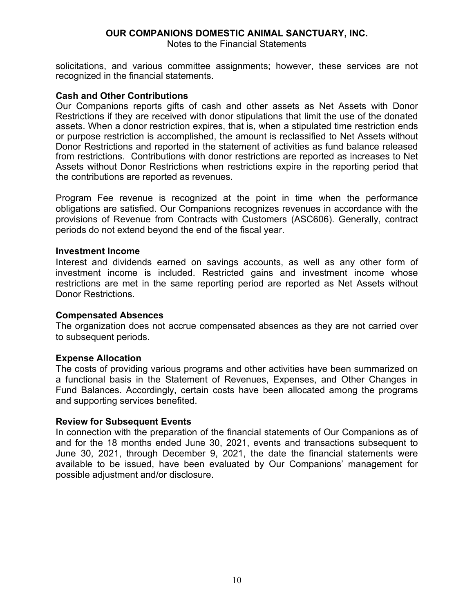solicitations, and various committee assignments; however, these services are not recognized in the financial statements.

#### **Cash and Other Contributions**

Our Companions reports gifts of cash and other assets as Net Assets with Donor Restrictions if they are received with donor stipulations that limit the use of the donated assets. When a donor restriction expires, that is, when a stipulated time restriction ends or purpose restriction is accomplished, the amount is reclassified to Net Assets without Donor Restrictions and reported in the statement of activities as fund balance released from restrictions. Contributions with donor restrictions are reported as increases to Net Assets without Donor Restrictions when restrictions expire in the reporting period that the contributions are reported as revenues.

Program Fee revenue is recognized at the point in time when the performance obligations are satisfied. Our Companions recognizes revenues in accordance with the provisions of Revenue from Contracts with Customers (ASC606). Generally, contract periods do not extend beyond the end of the fiscal year.

#### **Investment Income**

Interest and dividends earned on savings accounts, as well as any other form of investment income is included. Restricted gains and investment income whose restrictions are met in the same reporting period are reported as Net Assets without Donor Restrictions.

## **Compensated Absences**

The organization does not accrue compensated absences as they are not carried over to subsequent periods.

## **Expense Allocation**

The costs of providing various programs and other activities have been summarized on a functional basis in the Statement of Revenues, Expenses, and Other Changes in Fund Balances. Accordingly, certain costs have been allocated among the programs and supporting services benefited.

#### **Review for Subsequent Events**

In connection with the preparation of the financial statements of Our Companions as of and for the 18 months ended June 30, 2021, events and transactions subsequent to June 30, 2021, through December 9, 2021, the date the financial statements were available to be issued, have been evaluated by Our Companions' management for possible adjustment and/or disclosure.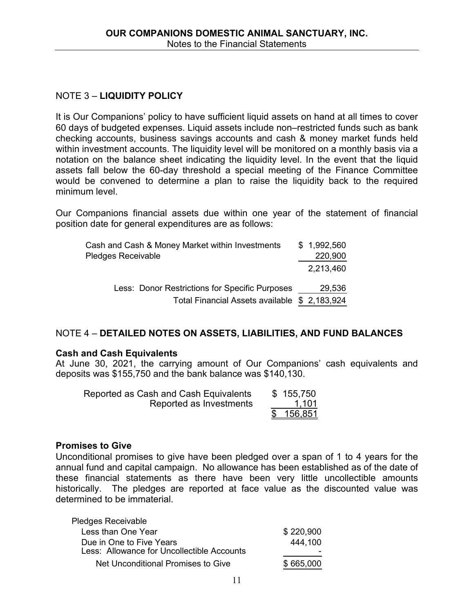# NOTE 3 – **LIQUIDITY POLICY**

It is Our Companions' policy to have sufficient liquid assets on hand at all times to cover 60 days of budgeted expenses. Liquid assets include non–restricted funds such as bank checking accounts, business savings accounts and cash & money market funds held within investment accounts. The liquidity level will be monitored on a monthly basis via a notation on the balance sheet indicating the liquidity level. In the event that the liquid assets fall below the 60-day threshold a special meeting of the Finance Committee would be convened to determine a plan to raise the liquidity back to the required minimum level.

Our Companions financial assets due within one year of the statement of financial position date for general expenditures are as follows:

| Cash and Cash & Money Market within Investments | \$1,992,560 |
|-------------------------------------------------|-------------|
| Pledges Receivable                              | 220,900     |
|                                                 | 2,213,460   |
| Less: Donor Restrictions for Specific Purposes  | 29,536      |
| Total Financial Assets available \$ 2,183,924   |             |

# NOTE 4 – **DETAILED NOTES ON ASSETS, LIABILITIES, AND FUND BALANCES**

## **Cash and Cash Equivalents**

At June 30, 2021, the carrying amount of Our Companions' cash equivalents and deposits was \$155,750 and the bank balance was \$140,130.

| Reported as Cash and Cash Equivalents | \$155,750 |
|---------------------------------------|-----------|
| Reported as Investments               | 1.101     |
|                                       | \$156,851 |

## **Promises to Give**

Unconditional promises to give have been pledged over a span of 1 to 4 years for the annual fund and capital campaign. No allowance has been established as of the date of these financial statements as there have been very little uncollectible amounts historically. The pledges are reported at face value as the discounted value was determined to be immaterial.

| Pledges Receivable                         |           |
|--------------------------------------------|-----------|
| Less than One Year                         | \$220,900 |
| Due in One to Five Years                   | 444,100   |
| Less: Allowance for Uncollectible Accounts |           |
| Net Unconditional Promises to Give         | \$665,000 |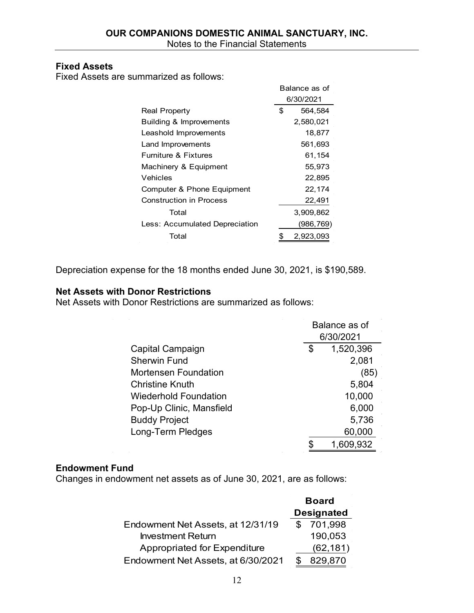#### **Fixed Assets**

Fixed Assets are summarized as follows:

|                                 | Balance as of |            |  |
|---------------------------------|---------------|------------|--|
|                                 |               | 6/30/2021  |  |
| Real Property                   | \$            | 564,584    |  |
| Building & Improvements         |               | 2,580,021  |  |
| Leashold Improvements           |               | 18,877     |  |
| Land Improvements               |               | 561,693    |  |
| <b>Furniture &amp; Fixtures</b> |               | 61.154     |  |
| Machinery & Equipment           |               | 55,973     |  |
| Vehicles                        |               | 22,895     |  |
| Computer & Phone Equipment      |               | 22,174     |  |
| <b>Construction in Process</b>  |               | 22,491     |  |
| Total                           |               | 3,909,862  |  |
| Less: Accumulated Depreciation  |               | (986, 769) |  |
| Total                           |               | 2,923,093  |  |

Depreciation expense for the 18 months ended June 30, 2021, is \$190,589.

#### **Net Assets with Donor Restrictions**

Net Assets with Donor Restrictions are summarized as follows:

|                          | Balance as of<br>6/30/2021 |  |
|--------------------------|----------------------------|--|
| Capital Campaign         | 1,520,396                  |  |
| <b>Sherwin Fund</b>      | 2,081                      |  |
| Mortensen Foundation     | (85)                       |  |
| Christine Knuth          | 5,804                      |  |
| Wiederhold Foundation    | 10,000                     |  |
| Pop-Up Clinic, Mansfield | 6,000                      |  |
| <b>Buddy Project</b>     | 5,736                      |  |
| Long-Term Pledges        | 60,000                     |  |
|                          | 1,609,932                  |  |

#### **Endowment Fund**

Changes in endowment net assets as of June 30, 2021, are as follows:

|                                    | <b>Board</b>      |           |  |
|------------------------------------|-------------------|-----------|--|
|                                    | <b>Designated</b> |           |  |
| Endowment Net Assets, at 12/31/19  | S                 | 701,998   |  |
| <b>Investment Return</b>           |                   | 190,053   |  |
| Appropriated for Expenditure       |                   | (62, 181) |  |
| Endowment Net Assets, at 6/30/2021 |                   | 829,870   |  |